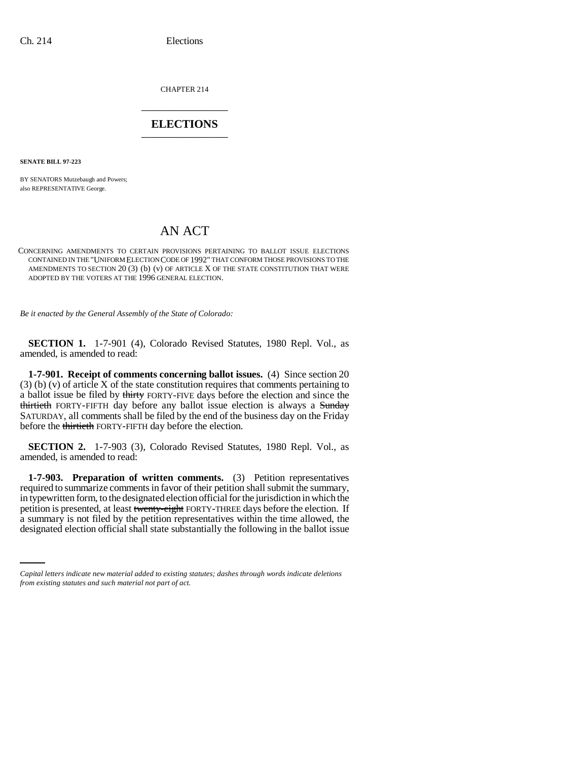CHAPTER 214 \_\_\_\_\_\_\_\_\_\_\_\_\_\_\_

## **ELECTIONS** \_\_\_\_\_\_\_\_\_\_\_\_\_\_\_

**SENATE BILL 97-223**

BY SENATORS Mutzebaugh and Powers; also REPRESENTATIVE George.

## AN ACT

## CONCERNING AMENDMENTS TO CERTAIN PROVISIONS PERTAINING TO BALLOT ISSUE ELECTIONS CONTAINED IN THE "UNIFORM ELECTION CODE OF 1992" THAT CONFORM THOSE PROVISIONS TO THE AMENDMENTS TO SECTION 20 (3) (b) (v) OF ARTICLE X OF THE STATE CONSTITUTION THAT WERE ADOPTED BY THE VOTERS AT THE 1996 GENERAL ELECTION.

*Be it enacted by the General Assembly of the State of Colorado:*

**SECTION 1.** 1-7-901 (4), Colorado Revised Statutes, 1980 Repl. Vol., as amended, is amended to read:

**1-7-901. Receipt of comments concerning ballot issues.** (4) Since section 20 (3) (b) (v) of article X of the state constitution requires that comments pertaining to a ballot issue be filed by thirty FORTY-FIVE days before the election and since the thirtieth FORTY-FIFTH day before any ballot issue election is always a Sunday SATURDAY, all comments shall be filed by the end of the business day on the Friday before the thirtieth FORTY-FIFTH day before the election.

**SECTION 2.** 1-7-903 (3), Colorado Revised Statutes, 1980 Repl. Vol., as amended, is amended to read:

petition is presented, at least <del>twenty-eight</del> FORTY-THREE days before the election. If<br>a summary is not filed by the petition representatives within the time allowed, the **1-7-903. Preparation of written comments.** (3) Petition representatives required to summarize comments in favor of their petition shall submit the summary, in typewritten form, to the designated election official for the jurisdiction in which the petition is presented, at least twenty-eight FORTY-THREE days before the election. If designated election official shall state substantially the following in the ballot issue

*Capital letters indicate new material added to existing statutes; dashes through words indicate deletions from existing statutes and such material not part of act.*